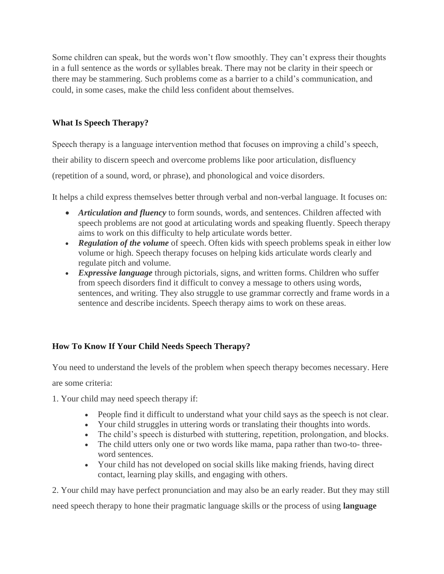Some children can speak, but the words won't flow smoothly. They can't express their thoughts in a full sentence as the words or syllables break. There may not be clarity in their speech or there may be stammering. Such problems come as a barrier to a child's communication, and could, in some cases, make the child less confident about themselves.

## **What Is Speech Therapy?**

Speech therapy is a language intervention method that focuses on improving a child's speech,

their ability to discern speech and overcome problems like poor articulation, disfluency

(repetition of a sound, word, or phrase), and phonological and voice disorders.

It helps a child express themselves better through verbal and non-verbal language. It focuses on:

- *Articulation and fluency* to form sounds, words, and sentences. Children affected with speech problems are not good at articulating words and speaking fluently. Speech therapy aims to work on this difficulty to help articulate words better.
- **Regulation of the volume** of speech. Often kids with speech problems speak in either low volume or high. Speech therapy focuses on helping kids articulate words clearly and regulate pitch and volume.
- *Expressive language* through pictorials, signs, and written forms. Children who suffer from speech disorders find it difficult to convey a message to others using words, sentences, and writing. They also struggle to use grammar correctly and frame words in a sentence and describe incidents. Speech therapy aims to work on these areas.

## **How To Know If Your Child Needs Speech Therapy?**

You need to understand the levels of the problem when speech therapy becomes necessary. Here

are some criteria:

- 1. Your child may need speech therapy if:
	- People find it difficult to understand what your child says as the speech is not clear.
	- Your child struggles in uttering words or translating their thoughts into words.
	- The child's speech is disturbed with stuttering, repetition, prolongation, and blocks.
	- The child utters only one or two words like mama, papa rather than two-to- threeword sentences.
	- Your child has not developed on social skills like making friends, having direct contact, learning play skills, and engaging with others.

2. Your child may have perfect pronunciation and may also be an early reader. But they may still need speech therapy to hone their pragmatic language skills or the process of using **language**